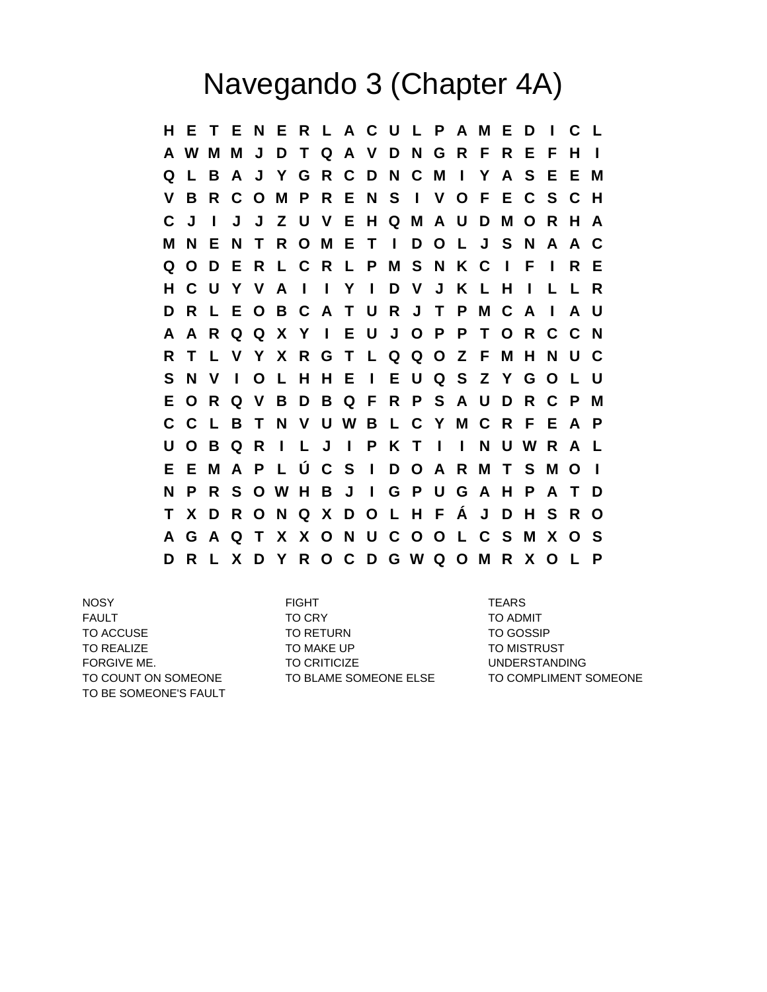## Navegando 3 (Chapter 4A)

**H E T E N E R L A C U L P A M E D I C L A W M M J D T Q A V D N G R F R E F H I Q L B A J Y G R C D N C M I Y A S E E M V B R C O M P R E N S I V O F E C S C H C J I J J Z U V E H Q M A U D M O R H A M N E N T R O M E T I D O L J S N A A C Q O D E R L C R L P M S N K C I F I R E H C U Y V A I I Y I D V J K L H I L L R D R L E O B C A T U R J T P M C A I A U A A R Q Q X Y I E U J O P P T O R C C N R T L V Y X R G T L Q Q O Z F M H N U C S N V I O L H H E I E U Q S Z Y G O L U E O R Q V B D B Q F R P S A U D R C P M C C L B T N V U W B L C Y M C R F E A P U O B Q R I L J I P K T I I N U W R A L E E M A P L Ú C S I D O A R M T S M O I N P R S O W H B J I G P U G A H P A T D T X D R O N Q X D O L H F Á J D H S R O A G A Q T X X O N U C O O L C S M X O S D R L X D Y R O C D G W Q O M R X O L P**

NOSY FIGHT TEARS TO BE SOMEONE'S FAULT

FAULT TO CRY TO ADMIT TO ACCUSE TO RETURN TO RETURN TO GOSSIP TO REALIZE TO MAKE UP TO MAKE UP TO MISTRUST FORGIVE ME. TO CRITICIZE TO CRITICIZE TO CRITICIZE

TO COUNT ON SOMEONE TO BLAME SOMEONE ELSE TO COMPLIMENT SOMEONE